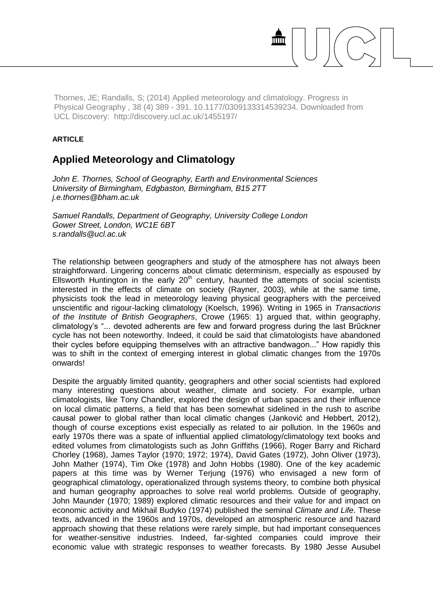Thornes, JE; Randalls, S; (2014) Applied meteorology and climatology. Progress in Physical Geography , 38 (4) 389 - 391. 10.1177/0309133314539234. Downloaded from UCL Discovery: http://discovery.ucl.ac.uk/1455197/

## **ARTICLE**

## **Applied Meteorology and Climatology**

*John E. Thornes, School of Geography, Earth and Environmental Sciences University of Birmingham, Edgbaston, Birmingham, B15 2TT j.e.thornes@bham.ac.uk*

*Samuel Randalls, Department of Geography, University College London Gower Street, London, WC1E 6BT s.randalls@ucl.ac.uk*

The relationship between geographers and study of the atmosphere has not always been straightforward. Lingering concerns about climatic determinism, especially as espoused by Ellsworth Huntington in the early  $20<sup>th</sup>$  century, haunted the attempts of social scientists interested in the effects of climate on society (Rayner, 2003), while at the same time, physicists took the lead in meteorology leaving physical geographers with the perceived unscientific and rigour-lacking climatology (Koelsch, 1996). Writing in 1965 in *Transactions of the Institute of British Geographers*, Crowe (1965: 1) argued that, within geography, climatology's "... devoted adherents are few and forward progress during the last Brűckner cycle has not been noteworthy. Indeed, it could be said that climatologists have abandoned their cycles before equipping themselves with an attractive bandwagon..." How rapidly this was to shift in the context of emerging interest in global climatic changes from the 1970s onwards!

Despite the arguably limited quantity, geographers and other social scientists had explored many interesting questions about weather, climate and society. For example, urban climatologists, like Tony Chandler, explored the design of urban spaces and their influence on local climatic patterns, a field that has been somewhat sidelined in the rush to ascribe causal power to global rather than local climatic changes (Janković and Hebbert, 2012), though of course exceptions exist especially as related to air pollution. In the 1960s and early 1970s there was a spate of influential applied climatology/climatology text books and edited volumes from climatologists such as John Griffiths (1966), Roger Barry and Richard Chorley (1968), James Taylor (1970; 1972; 1974), David Gates (1972), John Oliver (1973), John Mather (1974), Tim Oke (1978) and John Hobbs (1980). One of the key academic papers at this time was by Werner Terjung (1976) who envisaged a new form of geographical climatology, operationalized through systems theory, to combine both physical and human geography approaches to solve real world problems. Outside of geography, John Maunder (1970; 1989) explored climatic resources and their value for and impact on economic activity and Mikhail Budyko (1974) published the seminal *Climate and Life*. These texts, advanced in the 1960s and 1970s, developed an atmospheric resource and hazard approach showing that these relations were rarely simple, but had important consequences for weather-sensitive industries. Indeed, far-sighted companies could improve their economic value with strategic responses to weather forecasts. By 1980 Jesse Ausubel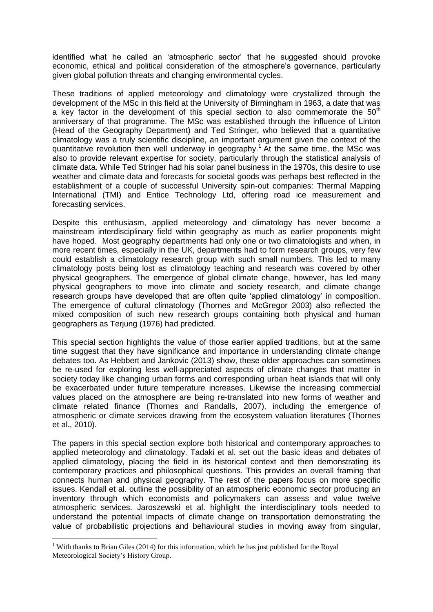identified what he called an 'atmospheric sector' that he suggested should provoke economic, ethical and political consideration of the atmosphere's governance, particularly given global pollution threats and changing environmental cycles.

These traditions of applied meteorology and climatology were crystallized through the development of the MSc in this field at the University of Birmingham in 1963, a date that was a key factor in the development of this special section to also commemorate the  $50<sup>th</sup>$ anniversary of that programme. The MSc was established through the influence of Linton (Head of the Geography Department) and Ted Stringer, who believed that a quantitative climatology was a truly scientific discipline, an important argument given the context of the quantitative revolution then well underway in geography.<sup>1</sup> At the same time, the MSc was also to provide relevant expertise for society, particularly through the statistical analysis of climate data. While Ted Stringer had his solar panel business in the 1970s, this desire to use weather and climate data and forecasts for societal goods was perhaps best reflected in the establishment of a couple of successful University spin-out companies: Thermal Mapping International (TMI) and Entice Technology Ltd, offering road ice measurement and forecasting services.

Despite this enthusiasm, applied meteorology and climatology has never become a mainstream interdisciplinary field within geography as much as earlier proponents might have hoped. Most geography departments had only one or two climatologists and when, in more recent times, especially in the UK, departments had to form research groups, very few could establish a climatology research group with such small numbers. This led to many climatology posts being lost as climatology teaching and research was covered by other physical geographers. The emergence of global climate change, however, has led many physical geographers to move into climate and society research, and climate change research groups have developed that are often quite 'applied climatology' in composition. The emergence of cultural climatology (Thornes and McGregor 2003) also reflected the mixed composition of such new research groups containing both physical and human geographers as Terjung (1976) had predicted.

This special section highlights the value of those earlier applied traditions, but at the same time suggest that they have significance and importance in understanding climate change debates too. As Hebbert and Jankovic (2013) show, these older approaches can sometimes be re-used for exploring less well-appreciated aspects of climate changes that matter in society today like changing urban forms and corresponding urban heat islands that will only be exacerbated under future temperature increases. Likewise the increasing commercial values placed on the atmosphere are being re-translated into new forms of weather and climate related finance (Thornes and Randalls, 2007), including the emergence of atmospheric or climate services drawing from the ecosystem valuation literatures (Thornes et al., 2010).

The papers in this special section explore both historical and contemporary approaches to applied meteorology and climatology. Tadaki et al. set out the basic ideas and debates of applied climatology, placing the field in its historical context and then demonstrating its contemporary practices and philosophical questions. This provides an overall framing that connects human and physical geography. The rest of the papers focus on more specific issues. Kendall et al. outline the possibility of an atmospheric economic sector producing an inventory through which economists and policymakers can assess and value twelve atmospheric services. Jaroszewski et al. highlight the interdisciplinary tools needed to understand the potential impacts of climate change on transportation demonstrating the value of probabilistic projections and behavioural studies in moving away from singular,

1

<sup>&</sup>lt;sup>1</sup> With thanks to Brian Giles (2014) for this information, which he has just published for the Royal Meteorological Society's History Group.